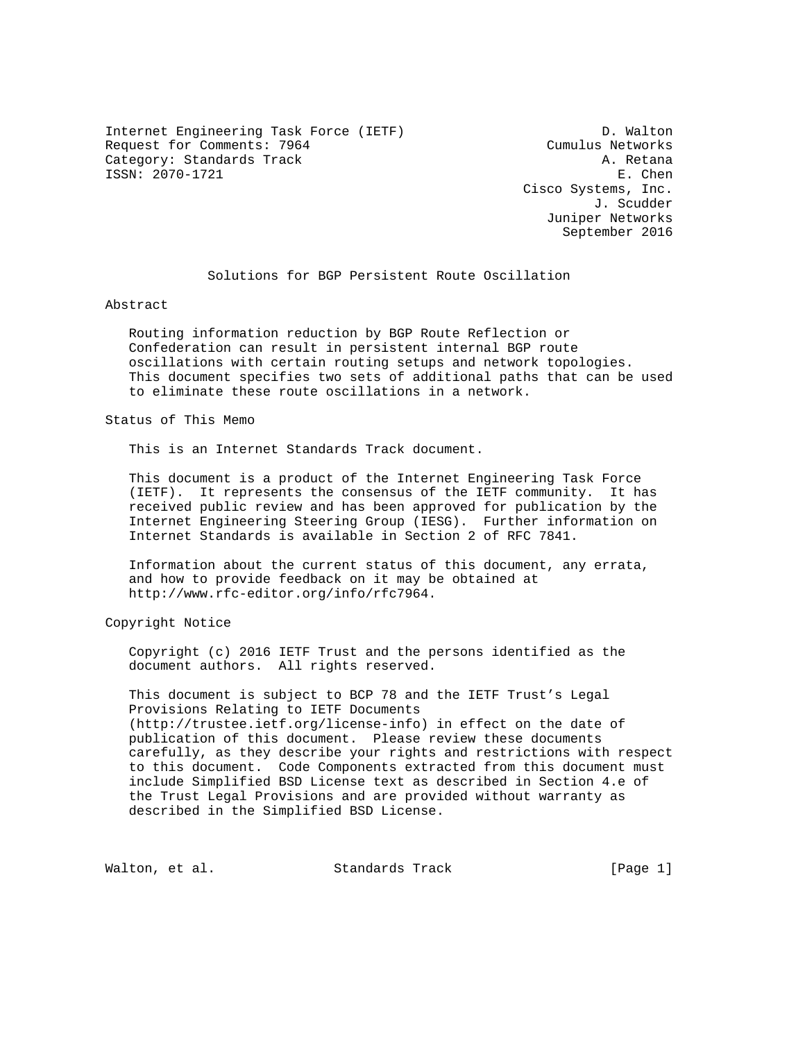Internet Engineering Task Force (IETF) D. Walton Request for Comments: 7964 Cumulus Networks Category: Standards Track A. Retana ISSN: 2070-1721 E. Chen

 Cisco Systems, Inc. J. Scudder Juniper Networks September 2016

# Solutions for BGP Persistent Route Oscillation

Abstract

 Routing information reduction by BGP Route Reflection or Confederation can result in persistent internal BGP route oscillations with certain routing setups and network topologies. This document specifies two sets of additional paths that can be used to eliminate these route oscillations in a network.

Status of This Memo

This is an Internet Standards Track document.

 This document is a product of the Internet Engineering Task Force (IETF). It represents the consensus of the IETF community. It has received public review and has been approved for publication by the Internet Engineering Steering Group (IESG). Further information on Internet Standards is available in Section 2 of RFC 7841.

 Information about the current status of this document, any errata, and how to provide feedback on it may be obtained at http://www.rfc-editor.org/info/rfc7964.

Copyright Notice

 Copyright (c) 2016 IETF Trust and the persons identified as the document authors. All rights reserved.

 This document is subject to BCP 78 and the IETF Trust's Legal Provisions Relating to IETF Documents (http://trustee.ietf.org/license-info) in effect on the date of publication of this document. Please review these documents carefully, as they describe your rights and restrictions with respect to this document. Code Components extracted from this document must include Simplified BSD License text as described in Section 4.e of the Trust Legal Provisions and are provided without warranty as described in the Simplified BSD License.

Walton, et al. Standards Track [Page 1]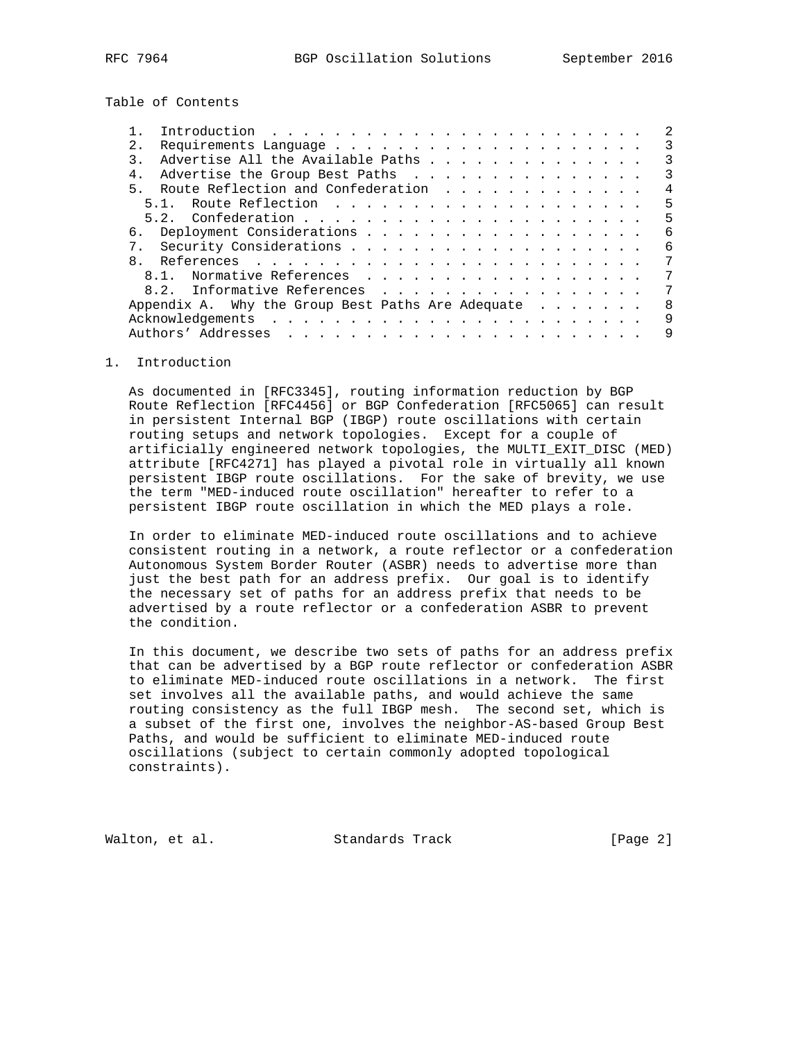Table of Contents

| 2.1          |                                                            |  |  |  |  |  |  | 3 |
|--------------|------------------------------------------------------------|--|--|--|--|--|--|---|
|              | Advertise All the Available Paths                          |  |  |  |  |  |  | 3 |
| $4$ .        | Advertise the Group Best Paths                             |  |  |  |  |  |  | 3 |
| 5.           | Route Reflection and Confederation                         |  |  |  |  |  |  | 4 |
|              |                                                            |  |  |  |  |  |  | 5 |
|              |                                                            |  |  |  |  |  |  | 5 |
|              |                                                            |  |  |  |  |  |  | 6 |
|              |                                                            |  |  |  |  |  |  | 6 |
| $\mathsf{R}$ |                                                            |  |  |  |  |  |  | 7 |
|              | 8.1. Normative References                                  |  |  |  |  |  |  | 7 |
|              | 8.2. Informative References                                |  |  |  |  |  |  | 7 |
|              | Appendix A. Why the Group Best Paths Are Adequate $\cdots$ |  |  |  |  |  |  | 8 |
|              |                                                            |  |  |  |  |  |  | 9 |
|              |                                                            |  |  |  |  |  |  | 9 |
|              |                                                            |  |  |  |  |  |  |   |

### 1. Introduction

 As documented in [RFC3345], routing information reduction by BGP Route Reflection [RFC4456] or BGP Confederation [RFC5065] can result in persistent Internal BGP (IBGP) route oscillations with certain routing setups and network topologies. Except for a couple of artificially engineered network topologies, the MULTI\_EXIT\_DISC (MED) attribute [RFC4271] has played a pivotal role in virtually all known persistent IBGP route oscillations. For the sake of brevity, we use the term "MED-induced route oscillation" hereafter to refer to a persistent IBGP route oscillation in which the MED plays a role.

 In order to eliminate MED-induced route oscillations and to achieve consistent routing in a network, a route reflector or a confederation Autonomous System Border Router (ASBR) needs to advertise more than just the best path for an address prefix. Our goal is to identify the necessary set of paths for an address prefix that needs to be advertised by a route reflector or a confederation ASBR to prevent the condition.

 In this document, we describe two sets of paths for an address prefix that can be advertised by a BGP route reflector or confederation ASBR to eliminate MED-induced route oscillations in a network. The first set involves all the available paths, and would achieve the same routing consistency as the full IBGP mesh. The second set, which is a subset of the first one, involves the neighbor-AS-based Group Best Paths, and would be sufficient to eliminate MED-induced route oscillations (subject to certain commonly adopted topological constraints).

Walton, et al. Standards Track [Page 2]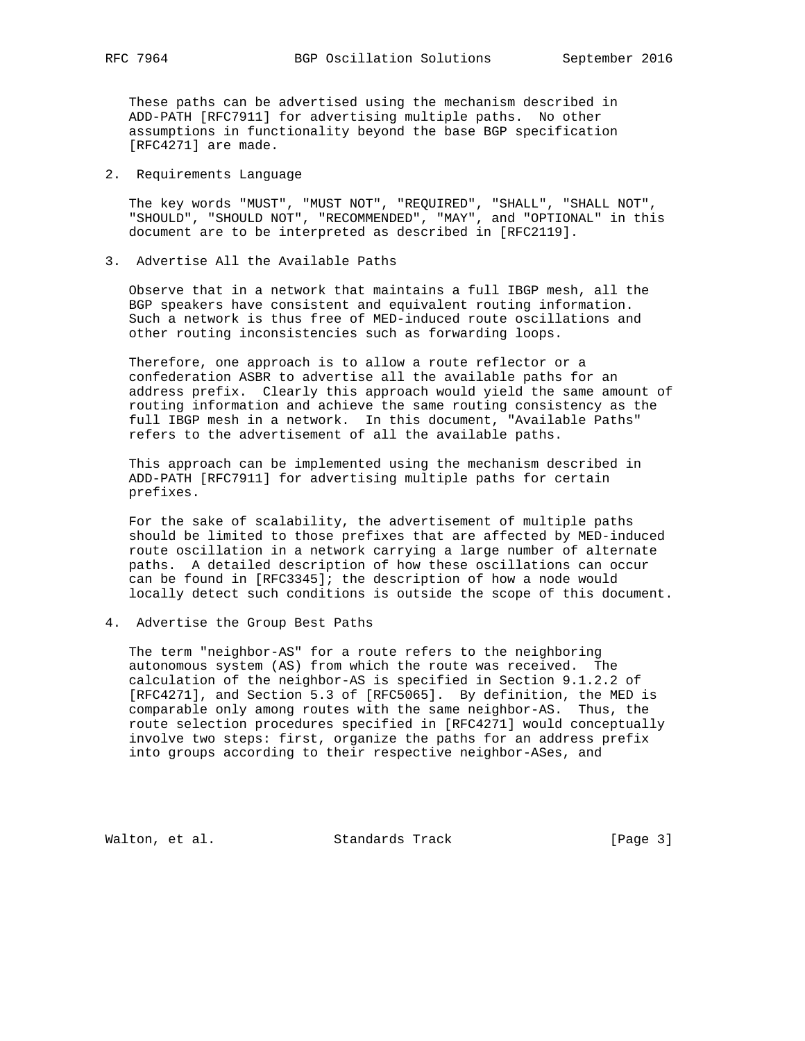These paths can be advertised using the mechanism described in ADD-PATH [RFC7911] for advertising multiple paths. No other assumptions in functionality beyond the base BGP specification [RFC4271] are made.

2. Requirements Language

 The key words "MUST", "MUST NOT", "REQUIRED", "SHALL", "SHALL NOT", "SHOULD", "SHOULD NOT", "RECOMMENDED", "MAY", and "OPTIONAL" in this document are to be interpreted as described in [RFC2119].

3. Advertise All the Available Paths

 Observe that in a network that maintains a full IBGP mesh, all the BGP speakers have consistent and equivalent routing information. Such a network is thus free of MED-induced route oscillations and other routing inconsistencies such as forwarding loops.

 Therefore, one approach is to allow a route reflector or a confederation ASBR to advertise all the available paths for an address prefix. Clearly this approach would yield the same amount of routing information and achieve the same routing consistency as the full IBGP mesh in a network. In this document, "Available Paths" refers to the advertisement of all the available paths.

 This approach can be implemented using the mechanism described in ADD-PATH [RFC7911] for advertising multiple paths for certain prefixes.

 For the sake of scalability, the advertisement of multiple paths should be limited to those prefixes that are affected by MED-induced route oscillation in a network carrying a large number of alternate paths. A detailed description of how these oscillations can occur can be found in [RFC3345]; the description of how a node would locally detect such conditions is outside the scope of this document.

4. Advertise the Group Best Paths

 The term "neighbor-AS" for a route refers to the neighboring autonomous system (AS) from which the route was received. The calculation of the neighbor-AS is specified in Section 9.1.2.2 of [RFC4271], and Section 5.3 of [RFC5065]. By definition, the MED is comparable only among routes with the same neighbor-AS. Thus, the route selection procedures specified in [RFC4271] would conceptually involve two steps: first, organize the paths for an address prefix into groups according to their respective neighbor-ASes, and

Walton, et al. Standards Track [Page 3]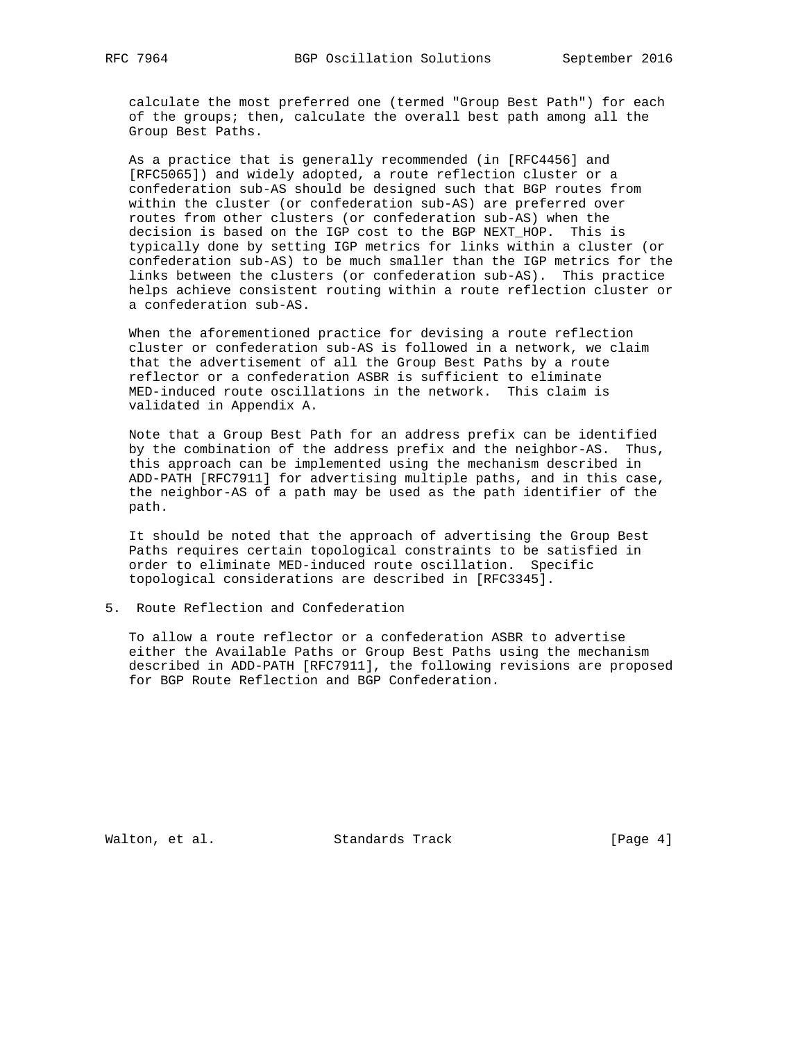calculate the most preferred one (termed "Group Best Path") for each of the groups; then, calculate the overall best path among all the Group Best Paths.

 As a practice that is generally recommended (in [RFC4456] and [RFC5065]) and widely adopted, a route reflection cluster or a confederation sub-AS should be designed such that BGP routes from within the cluster (or confederation sub-AS) are preferred over routes from other clusters (or confederation sub-AS) when the decision is based on the IGP cost to the BGP NEXT\_HOP. This is typically done by setting IGP metrics for links within a cluster (or confederation sub-AS) to be much smaller than the IGP metrics for the links between the clusters (or confederation sub-AS). This practice helps achieve consistent routing within a route reflection cluster or a confederation sub-AS.

 When the aforementioned practice for devising a route reflection cluster or confederation sub-AS is followed in a network, we claim that the advertisement of all the Group Best Paths by a route reflector or a confederation ASBR is sufficient to eliminate MED-induced route oscillations in the network. This claim is validated in Appendix A.

 Note that a Group Best Path for an address prefix can be identified by the combination of the address prefix and the neighbor-AS. Thus, this approach can be implemented using the mechanism described in ADD-PATH [RFC7911] for advertising multiple paths, and in this case, the neighbor-AS of a path may be used as the path identifier of the path.

 It should be noted that the approach of advertising the Group Best Paths requires certain topological constraints to be satisfied in order to eliminate MED-induced route oscillation. Specific topological considerations are described in [RFC3345].

5. Route Reflection and Confederation

 To allow a route reflector or a confederation ASBR to advertise either the Available Paths or Group Best Paths using the mechanism described in ADD-PATH [RFC7911], the following revisions are proposed for BGP Route Reflection and BGP Confederation.

Walton, et al. Standards Track [Page 4]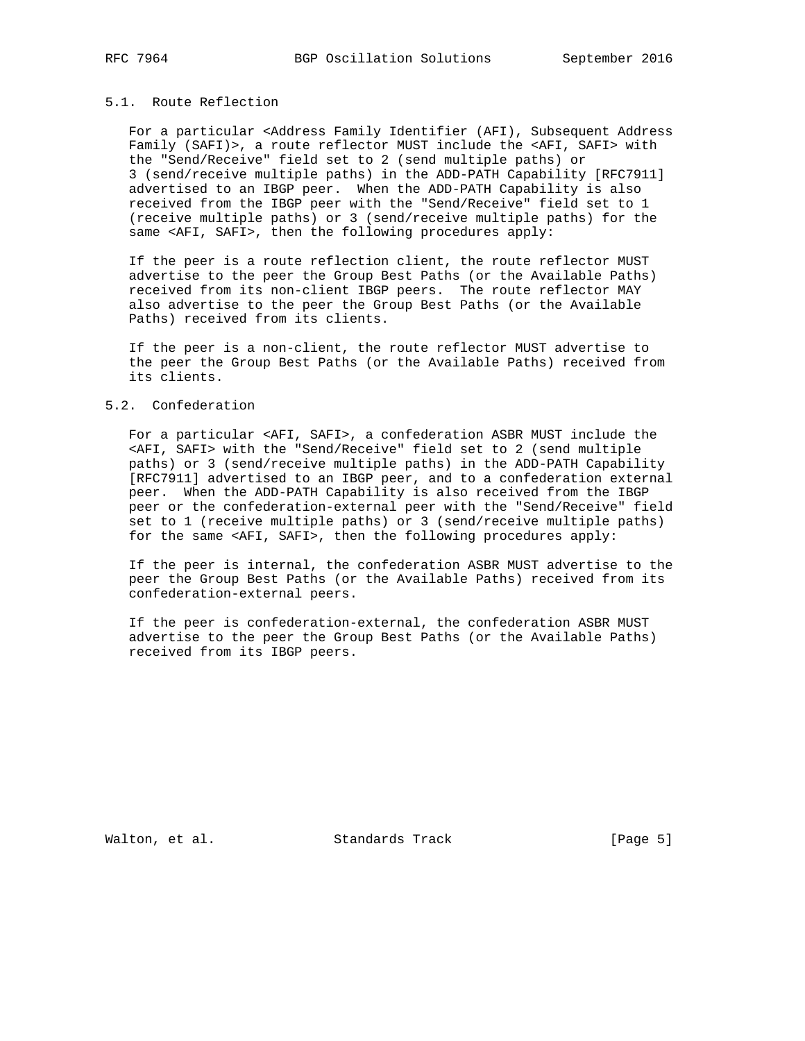### 5.1. Route Reflection

 For a particular <Address Family Identifier (AFI), Subsequent Address Family (SAFI)>, a route reflector MUST include the <AFI, SAFI> with the "Send/Receive" field set to 2 (send multiple paths) or 3 (send/receive multiple paths) in the ADD-PATH Capability [RFC7911] advertised to an IBGP peer. When the ADD-PATH Capability is also received from the IBGP peer with the "Send/Receive" field set to 1 (receive multiple paths) or 3 (send/receive multiple paths) for the same <AFI, SAFI>, then the following procedures apply:

 If the peer is a route reflection client, the route reflector MUST advertise to the peer the Group Best Paths (or the Available Paths) received from its non-client IBGP peers. The route reflector MAY also advertise to the peer the Group Best Paths (or the Available Paths) received from its clients.

 If the peer is a non-client, the route reflector MUST advertise to the peer the Group Best Paths (or the Available Paths) received from its clients.

### 5.2. Confederation

 For a particular <AFI, SAFI>, a confederation ASBR MUST include the <AFI, SAFI> with the "Send/Receive" field set to 2 (send multiple paths) or 3 (send/receive multiple paths) in the ADD-PATH Capability [RFC7911] advertised to an IBGP peer, and to a confederation external peer. When the ADD-PATH Capability is also received from the IBGP peer or the confederation-external peer with the "Send/Receive" field set to 1 (receive multiple paths) or 3 (send/receive multiple paths) for the same <AFI, SAFI>, then the following procedures apply:

 If the peer is internal, the confederation ASBR MUST advertise to the peer the Group Best Paths (or the Available Paths) received from its confederation-external peers.

 If the peer is confederation-external, the confederation ASBR MUST advertise to the peer the Group Best Paths (or the Available Paths) received from its IBGP peers.

Walton, et al. Standards Track [Page 5]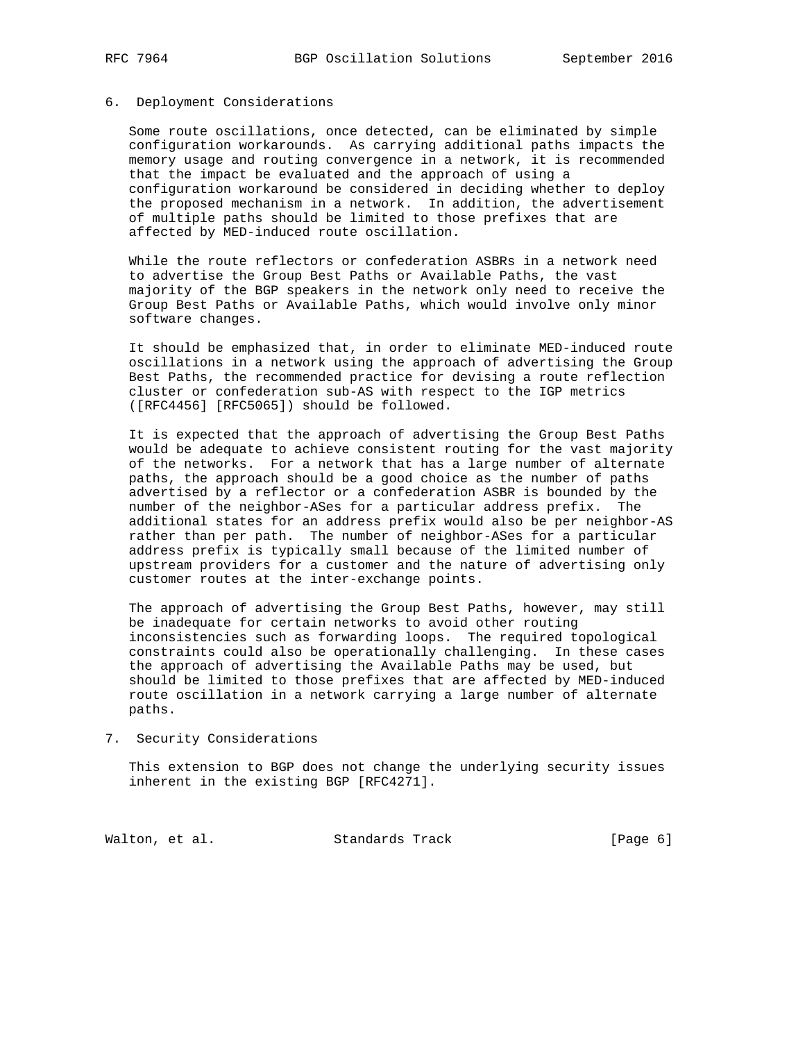#### 6. Deployment Considerations

 Some route oscillations, once detected, can be eliminated by simple configuration workarounds. As carrying additional paths impacts the memory usage and routing convergence in a network, it is recommended that the impact be evaluated and the approach of using a configuration workaround be considered in deciding whether to deploy the proposed mechanism in a network. In addition, the advertisement of multiple paths should be limited to those prefixes that are affected by MED-induced route oscillation.

 While the route reflectors or confederation ASBRs in a network need to advertise the Group Best Paths or Available Paths, the vast majority of the BGP speakers in the network only need to receive the Group Best Paths or Available Paths, which would involve only minor software changes.

 It should be emphasized that, in order to eliminate MED-induced route oscillations in a network using the approach of advertising the Group Best Paths, the recommended practice for devising a route reflection cluster or confederation sub-AS with respect to the IGP metrics ([RFC4456] [RFC5065]) should be followed.

 It is expected that the approach of advertising the Group Best Paths would be adequate to achieve consistent routing for the vast majority of the networks. For a network that has a large number of alternate paths, the approach should be a good choice as the number of paths advertised by a reflector or a confederation ASBR is bounded by the number of the neighbor-ASes for a particular address prefix. The additional states for an address prefix would also be per neighbor-AS rather than per path. The number of neighbor-ASes for a particular address prefix is typically small because of the limited number of upstream providers for a customer and the nature of advertising only customer routes at the inter-exchange points.

 The approach of advertising the Group Best Paths, however, may still be inadequate for certain networks to avoid other routing inconsistencies such as forwarding loops. The required topological constraints could also be operationally challenging. In these cases the approach of advertising the Available Paths may be used, but should be limited to those prefixes that are affected by MED-induced route oscillation in a network carrying a large number of alternate paths.

7. Security Considerations

 This extension to BGP does not change the underlying security issues inherent in the existing BGP [RFC4271].

Walton, et al. Standards Track [Page 6]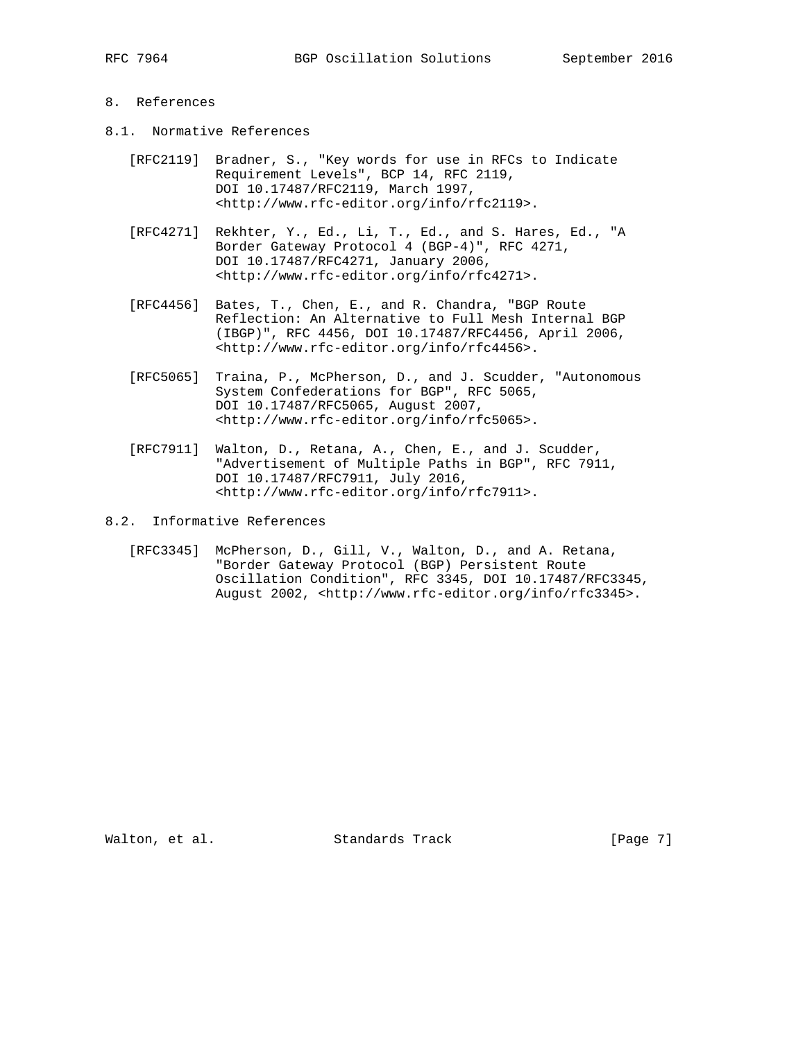## 8. References

- 8.1. Normative References
	- [RFC2119] Bradner, S., "Key words for use in RFCs to Indicate Requirement Levels", BCP 14, RFC 2119, DOI 10.17487/RFC2119, March 1997, <http://www.rfc-editor.org/info/rfc2119>.
	- [RFC4271] Rekhter, Y., Ed., Li, T., Ed., and S. Hares, Ed., "A Border Gateway Protocol 4 (BGP-4)", RFC 4271, DOI 10.17487/RFC4271, January 2006, <http://www.rfc-editor.org/info/rfc4271>.
	- [RFC4456] Bates, T., Chen, E., and R. Chandra, "BGP Route Reflection: An Alternative to Full Mesh Internal BGP (IBGP)", RFC 4456, DOI 10.17487/RFC4456, April 2006, <http://www.rfc-editor.org/info/rfc4456>.
	- [RFC5065] Traina, P., McPherson, D., and J. Scudder, "Autonomous System Confederations for BGP", RFC 5065, DOI 10.17487/RFC5065, August 2007, <http://www.rfc-editor.org/info/rfc5065>.
	- [RFC7911] Walton, D., Retana, A., Chen, E., and J. Scudder, "Advertisement of Multiple Paths in BGP", RFC 7911, DOI 10.17487/RFC7911, July 2016, <http://www.rfc-editor.org/info/rfc7911>.
- 8.2. Informative References
	- [RFC3345] McPherson, D., Gill, V., Walton, D., and A. Retana, "Border Gateway Protocol (BGP) Persistent Route Oscillation Condition", RFC 3345, DOI 10.17487/RFC3345, August 2002, <http://www.rfc-editor.org/info/rfc3345>.

Walton, et al. Standards Track [Page 7]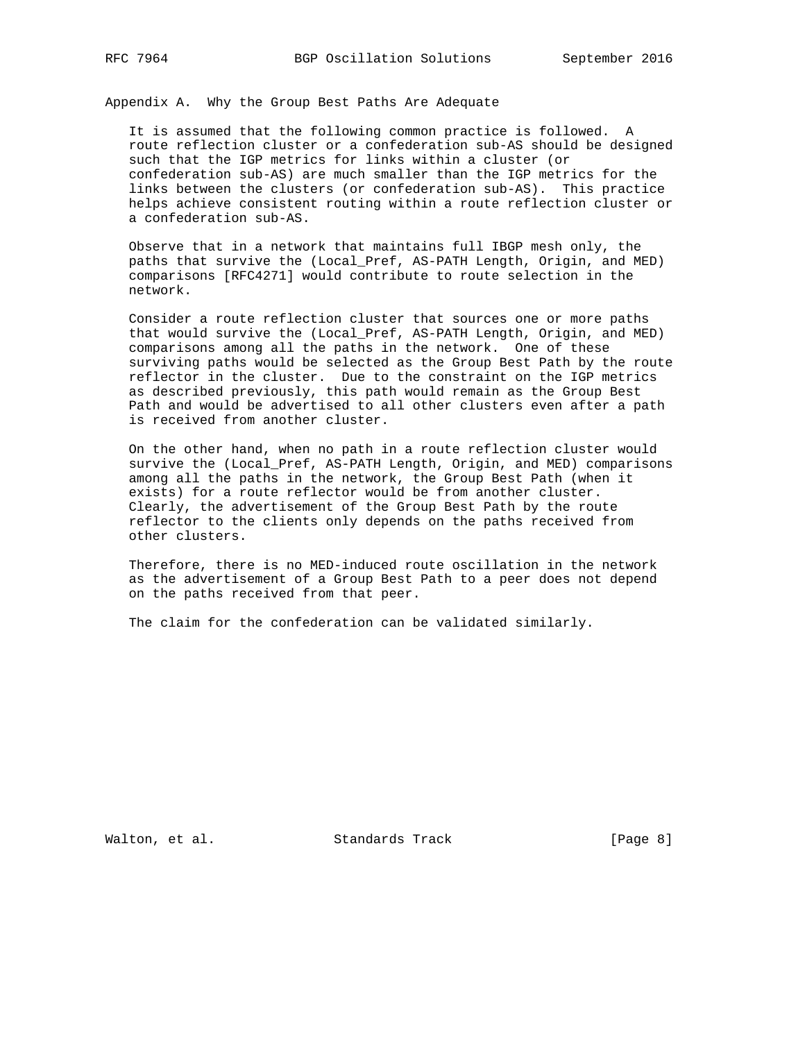Appendix A. Why the Group Best Paths Are Adequate

 It is assumed that the following common practice is followed. A route reflection cluster or a confederation sub-AS should be designed such that the IGP metrics for links within a cluster (or confederation sub-AS) are much smaller than the IGP metrics for the links between the clusters (or confederation sub-AS). This practice helps achieve consistent routing within a route reflection cluster or a confederation sub-AS.

 Observe that in a network that maintains full IBGP mesh only, the paths that survive the (Local\_Pref, AS-PATH Length, Origin, and MED) comparisons [RFC4271] would contribute to route selection in the network.

 Consider a route reflection cluster that sources one or more paths that would survive the (Local\_Pref, AS-PATH Length, Origin, and MED) comparisons among all the paths in the network. One of these surviving paths would be selected as the Group Best Path by the route reflector in the cluster. Due to the constraint on the IGP metrics as described previously, this path would remain as the Group Best Path and would be advertised to all other clusters even after a path is received from another cluster.

 On the other hand, when no path in a route reflection cluster would survive the (Local\_Pref, AS-PATH Length, Origin, and MED) comparisons among all the paths in the network, the Group Best Path (when it exists) for a route reflector would be from another cluster. Clearly, the advertisement of the Group Best Path by the route reflector to the clients only depends on the paths received from other clusters.

 Therefore, there is no MED-induced route oscillation in the network as the advertisement of a Group Best Path to a peer does not depend on the paths received from that peer.

The claim for the confederation can be validated similarly.

Walton, et al. Standards Track [Page 8]